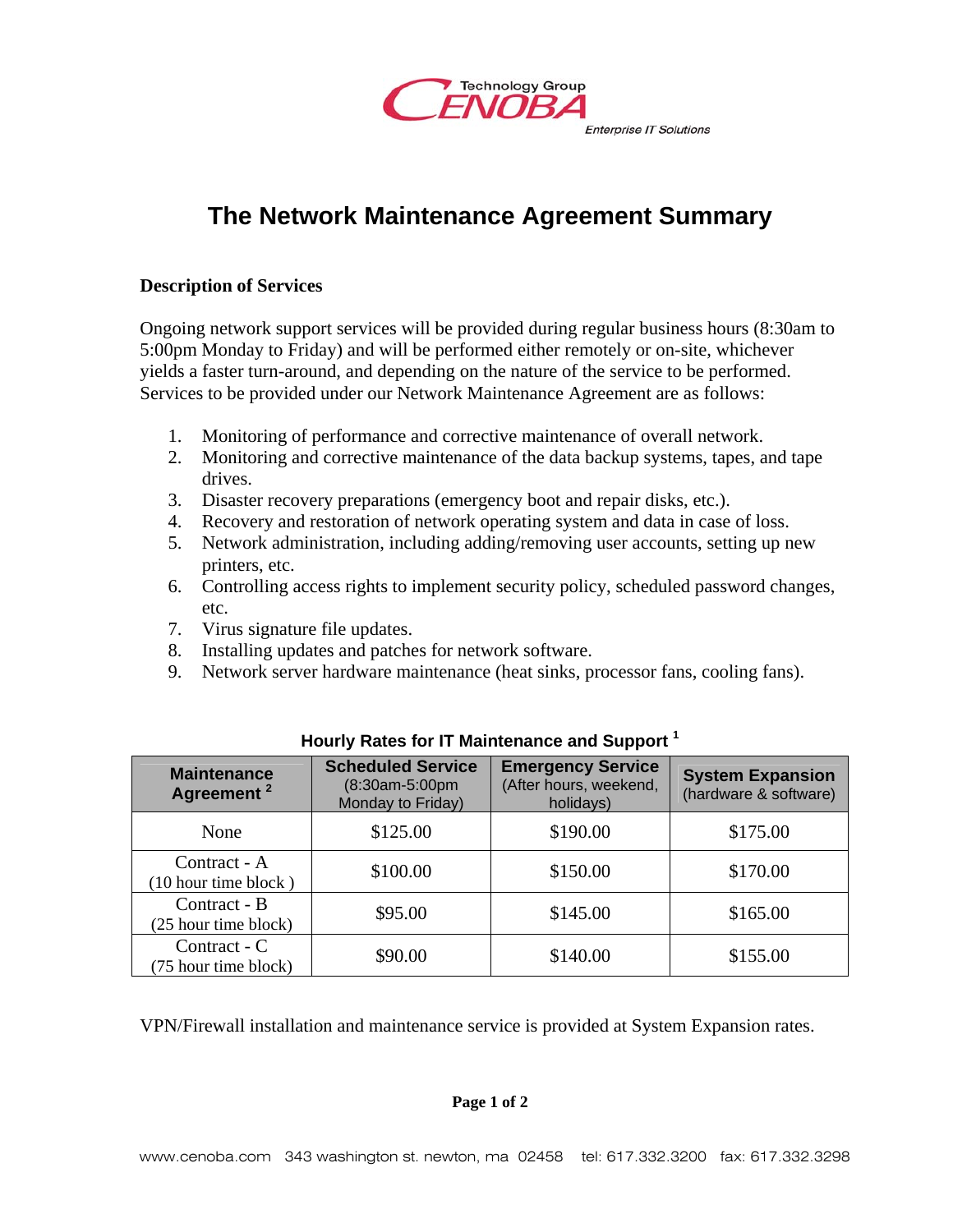

# **The Network Maintenance Agreement Summary**

#### **Description of Services**

Ongoing network support services will be provided during regular business hours (8:30am to 5:00pm Monday to Friday) and will be performed either remotely or on-site, whichever yields a faster turn-around, and depending on the nature of the service to be performed. Services to be provided under our Network Maintenance Agreement are as follows:

- 1. Monitoring of performance and corrective maintenance of overall network.
- 2. Monitoring and corrective maintenance of the data backup systems, tapes, and tape drives.
- 3. Disaster recovery preparations (emergency boot and repair disks, etc.).
- 4. Recovery and restoration of network operating system and data in case of loss.
- 5. Network administration, including adding/removing user accounts, setting up new printers, etc.
- 6. Controlling access rights to implement security policy, scheduled password changes, etc.
- 7. Virus signature file updates.
- 8. Installing updates and patches for network software.
- 9. Network server hardware maintenance (heat sinks, processor fans, cooling fans).

| <b>Maintenance</b><br>Agreement <sup>2</sup> | <b>Scheduled Service</b><br>(8:30am-5:00pm<br>Monday to Friday) | <b>Emergency Service</b><br>(After hours, weekend,<br>holidays) | <b>System Expansion</b><br>(hardware & software) |
|----------------------------------------------|-----------------------------------------------------------------|-----------------------------------------------------------------|--------------------------------------------------|
| None                                         | \$125.00                                                        | \$190.00                                                        | \$175.00                                         |
| Contract - A<br>(10 hour time block)         | \$100.00                                                        | \$150.00                                                        | \$170.00                                         |
| Contract - B<br>(25 hour time block)         | \$95.00                                                         | \$145.00                                                        | \$165.00                                         |
| Contract - $C$<br>(75 hour time block)       | \$90.00                                                         | \$140.00                                                        | \$155.00                                         |

## **Hourly Rates for IT Maintenance and Support 1**

VPN/Firewall installation and maintenance service is provided at System Expansion rates.

## **Page 1 of 2**